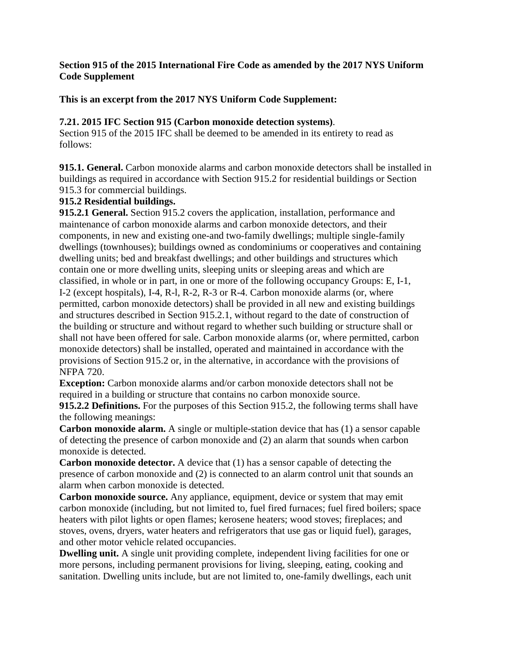## **Section 915 of the 2015 International Fire Code as amended by the 2017 NYS Uniform Code Supplement**

## **This is an excerpt from the 2017 NYS Uniform Code Supplement:**

### **7.21. 2015 IFC Section 915 (Carbon monoxide detection systems)**.

Section 915 of the 2015 IFC shall be deemed to be amended in its entirety to read as follows:

**915.1. General.** Carbon monoxide alarms and carbon monoxide detectors shall be installed in buildings as required in accordance with Section 915.2 for residential buildings or Section 915.3 for commercial buildings.

### **915.2 Residential buildings.**

**915.2.1 General.** Section 915.2 covers the application, installation, performance and maintenance of carbon monoxide alarms and carbon monoxide detectors, and their components, in new and existing one-and two-family dwellings; multiple single-family dwellings (townhouses); buildings owned as condominiums or cooperatives and containing dwelling units; bed and breakfast dwellings; and other buildings and structures which contain one or more dwelling units, sleeping units or sleeping areas and which are classified, in whole or in part, in one or more of the following occupancy Groups: E, I-1, I-2 (except hospitals), I-4, R-l, R-2, R-3 or R-4. Carbon monoxide alarms (or, where permitted, carbon monoxide detectors) shall be provided in all new and existing buildings and structures described in Section 915.2.1, without regard to the date of construction of the building or structure and without regard to whether such building or structure shall or shall not have been offered for sale. Carbon monoxide alarms (or, where permitted, carbon monoxide detectors) shall be installed, operated and maintained in accordance with the provisions of Section 915.2 or, in the alternative, in accordance with the provisions of NFPA 720.

**Exception:** Carbon monoxide alarms and/or carbon monoxide detectors shall not be required in a building or structure that contains no carbon monoxide source.

**915.2.2 Definitions.** For the purposes of this Section 915.2, the following terms shall have the following meanings:

**Carbon monoxide alarm.** A single or multiple-station device that has (1) a sensor capable of detecting the presence of carbon monoxide and (2) an alarm that sounds when carbon monoxide is detected.

**Carbon monoxide detector.** A device that (1) has a sensor capable of detecting the presence of carbon monoxide and (2) is connected to an alarm control unit that sounds an alarm when carbon monoxide is detected.

**Carbon monoxide source.** Any appliance, equipment, device or system that may emit carbon monoxide (including, but not limited to, fuel fired furnaces; fuel fired boilers; space heaters with pilot lights or open flames; kerosene heaters; wood stoves; fireplaces; and stoves, ovens, dryers, water heaters and refrigerators that use gas or liquid fuel), garages, and other motor vehicle related occupancies.

**Dwelling unit.** A single unit providing complete, independent living facilities for one or more persons, including permanent provisions for living, sleeping, eating, cooking and sanitation. Dwelling units include, but are not limited to, one-family dwellings, each unit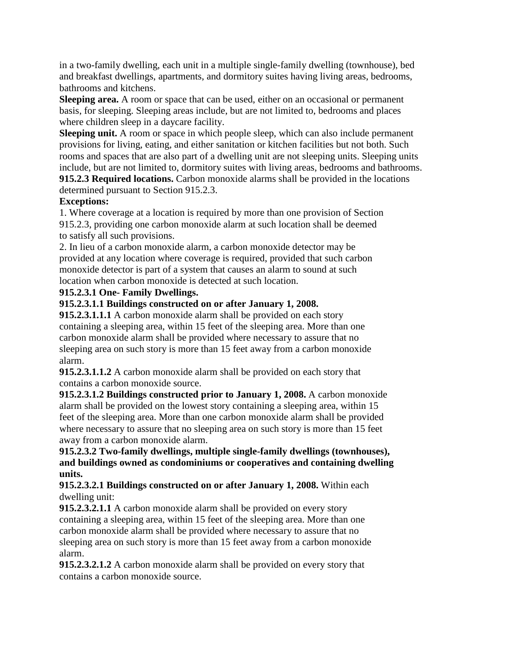in a two-family dwelling, each unit in a multiple single-family dwelling (townhouse), bed and breakfast dwellings, apartments, and dormitory suites having living areas, bedrooms, bathrooms and kitchens.

**Sleeping area.** A room or space that can be used, either on an occasional or permanent basis, for sleeping. Sleeping areas include, but are not limited to, bedrooms and places where children sleep in a daycare facility.

**Sleeping unit.** A room or space in which people sleep, which can also include permanent provisions for living, eating, and either sanitation or kitchen facilities but not both. Such rooms and spaces that are also part of a dwelling unit are not sleeping units. Sleeping units include, but are not limited to, dormitory suites with living areas, bedrooms and bathrooms. **915.2.3 Required locations.** Carbon monoxide alarms shall be provided in the locations

determined pursuant to Section 915.2.3.

# **Exceptions:**

1. Where coverage at a location is required by more than one provision of Section 915.2.3, providing one carbon monoxide alarm at such location shall be deemed to satisfy all such provisions.

2. In lieu of a carbon monoxide alarm, a carbon monoxide detector may be provided at any location where coverage is required, provided that such carbon monoxide detector is part of a system that causes an alarm to sound at such location when carbon monoxide is detected at such location.

# **915.2.3.1 One- Family Dwellings.**

# **915.2.3.1.1 Buildings constructed on or after January 1, 2008.**

**915.2.3.1.1.1** A carbon monoxide alarm shall be provided on each story containing a sleeping area, within 15 feet of the sleeping area. More than one carbon monoxide alarm shall be provided where necessary to assure that no sleeping area on such story is more than 15 feet away from a carbon monoxide alarm.

**915.2.3.1.1.2** A carbon monoxide alarm shall be provided on each story that contains a carbon monoxide source.

**915.2.3.1.2 Buildings constructed prior to January 1, 2008.** A carbon monoxide alarm shall be provided on the lowest story containing a sleeping area, within 15 feet of the sleeping area. More than one carbon monoxide alarm shall be provided where necessary to assure that no sleeping area on such story is more than 15 feet away from a carbon monoxide alarm.

**915.2.3.2 Two-family dwellings, multiple single-family dwellings (townhouses), and buildings owned as condominiums or cooperatives and containing dwelling units.** 

**915.2.3.2.1 Buildings constructed on or after January 1, 2008.** Within each dwelling unit:

**915.2.3.2.1.1** A carbon monoxide alarm shall be provided on every story containing a sleeping area, within 15 feet of the sleeping area. More than one carbon monoxide alarm shall be provided where necessary to assure that no sleeping area on such story is more than 15 feet away from a carbon monoxide alarm.

**915.2.3.2.1.2** A carbon monoxide alarm shall be provided on every story that contains a carbon monoxide source.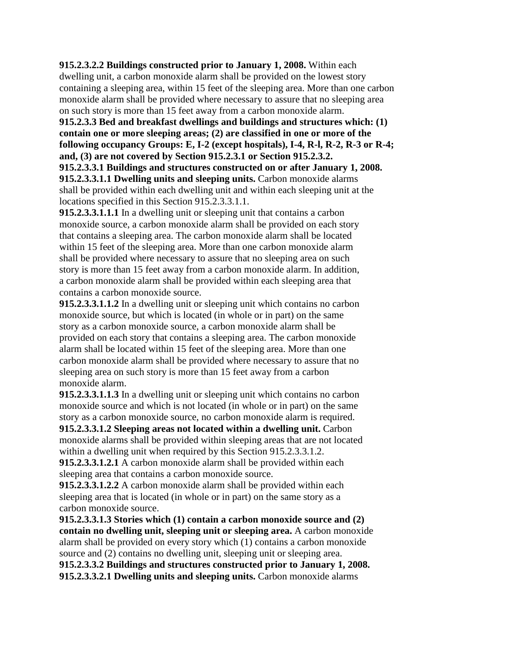**915.2.3.2.2 Buildings constructed prior to January 1, 2008.** Within each dwelling unit, a carbon monoxide alarm shall be provided on the lowest story containing a sleeping area, within 15 feet of the sleeping area. More than one carbon monoxide alarm shall be provided where necessary to assure that no sleeping area on such story is more than 15 feet away from a carbon monoxide alarm.

**915.2.3.3 Bed and breakfast dwellings and buildings and structures which: (1) contain one or more sleeping areas; (2) are classified in one or more of the following occupancy Groups: E, I-2 (except hospitals), I-4, R-l, R-2, R-3 or R-4; and, (3) are not covered by Section 915.2.3.1 or Section 915.2.3.2.** 

**915.2.3.3.1 Buildings and structures constructed on or after January 1, 2008. 915.2.3.3.1.1 Dwelling units and sleeping units.** Carbon monoxide alarms shall be provided within each dwelling unit and within each sleeping unit at the locations specified in this Section 915.2.3.3.1.1.

**915.2.3.3.1.1.1** In a dwelling unit or sleeping unit that contains a carbon monoxide source, a carbon monoxide alarm shall be provided on each story that contains a sleeping area. The carbon monoxide alarm shall be located within 15 feet of the sleeping area. More than one carbon monoxide alarm shall be provided where necessary to assure that no sleeping area on such story is more than 15 feet away from a carbon monoxide alarm. In addition, a carbon monoxide alarm shall be provided within each sleeping area that contains a carbon monoxide source.

**915.2.3.3.1.1.2** In a dwelling unit or sleeping unit which contains no carbon monoxide source, but which is located (in whole or in part) on the same story as a carbon monoxide source, a carbon monoxide alarm shall be provided on each story that contains a sleeping area. The carbon monoxide alarm shall be located within 15 feet of the sleeping area. More than one carbon monoxide alarm shall be provided where necessary to assure that no sleeping area on such story is more than 15 feet away from a carbon monoxide alarm.

**915.2.3.3.1.1.3** In a dwelling unit or sleeping unit which contains no carbon monoxide source and which is not located (in whole or in part) on the same story as a carbon monoxide source, no carbon monoxide alarm is required.

**915.2.3.3.1.2 Sleeping areas not located within a dwelling unit.** Carbon monoxide alarms shall be provided within sleeping areas that are not located within a dwelling unit when required by this Section 915.2.3.3.1.2.

**915.2.3.3.1.2.1** A carbon monoxide alarm shall be provided within each sleeping area that contains a carbon monoxide source.

**915.2.3.3.1.2.2** A carbon monoxide alarm shall be provided within each sleeping area that is located (in whole or in part) on the same story as a carbon monoxide source.

**915.2.3.3.1.3 Stories which (1) contain a carbon monoxide source and (2) contain no dwelling unit, sleeping unit or sleeping area.** A carbon monoxide alarm shall be provided on every story which (1) contains a carbon monoxide source and (2) contains no dwelling unit, sleeping unit or sleeping area. **915.2.3.3.2 Buildings and structures constructed prior to January 1, 2008. 915.2.3.3.2.1 Dwelling units and sleeping units.** Carbon monoxide alarms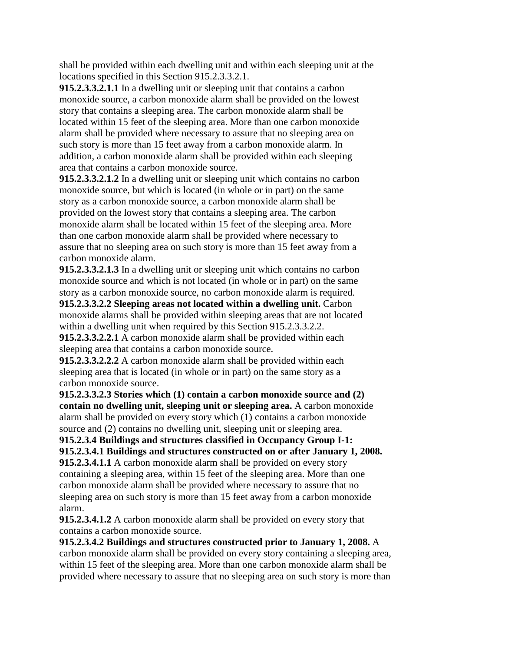shall be provided within each dwelling unit and within each sleeping unit at the locations specified in this Section 915.2.3.3.2.1.

**915.2.3.3.2.1.1** In a dwelling unit or sleeping unit that contains a carbon monoxide source, a carbon monoxide alarm shall be provided on the lowest story that contains a sleeping area. The carbon monoxide alarm shall be located within 15 feet of the sleeping area. More than one carbon monoxide alarm shall be provided where necessary to assure that no sleeping area on such story is more than 15 feet away from a carbon monoxide alarm. In addition, a carbon monoxide alarm shall be provided within each sleeping area that contains a carbon monoxide source.

**915.2.3.3.2.1.2** In a dwelling unit or sleeping unit which contains no carbon monoxide source, but which is located (in whole or in part) on the same story as a carbon monoxide source, a carbon monoxide alarm shall be provided on the lowest story that contains a sleeping area. The carbon monoxide alarm shall be located within 15 feet of the sleeping area. More than one carbon monoxide alarm shall be provided where necessary to assure that no sleeping area on such story is more than 15 feet away from a carbon monoxide alarm.

**915.2.3.3.2.1.3** In a dwelling unit or sleeping unit which contains no carbon monoxide source and which is not located (in whole or in part) on the same story as a carbon monoxide source, no carbon monoxide alarm is required.

**915.2.3.3.2.2 Sleeping areas not located within a dwelling unit.** Carbon monoxide alarms shall be provided within sleeping areas that are not located within a dwelling unit when required by this Section 915.2.3.3.2.2. **915.2.3.3.2.2.1** A carbon monoxide alarm shall be provided within each

sleeping area that contains a carbon monoxide source.

**915.2.3.3.2.2.2** A carbon monoxide alarm shall be provided within each sleeping area that is located (in whole or in part) on the same story as a carbon monoxide source.

**915.2.3.3.2.3 Stories which (1) contain a carbon monoxide source and (2) contain no dwelling unit, sleeping unit or sleeping area.** A carbon monoxide alarm shall be provided on every story which (1) contains a carbon monoxide source and (2) contains no dwelling unit, sleeping unit or sleeping area.

**915.2.3.4 Buildings and structures classified in Occupancy Group I-1: 915.2.3.4.1 Buildings and structures constructed on or after January 1, 2008. 915.2.3.4.1.1** A carbon monoxide alarm shall be provided on every story

containing a sleeping area, within 15 feet of the sleeping area. More than one carbon monoxide alarm shall be provided where necessary to assure that no sleeping area on such story is more than 15 feet away from a carbon monoxide alarm.

**915.2.3.4.1.2** A carbon monoxide alarm shall be provided on every story that contains a carbon monoxide source.

**915.2.3.4.2 Buildings and structures constructed prior to January 1, 2008.** A carbon monoxide alarm shall be provided on every story containing a sleeping area, within 15 feet of the sleeping area. More than one carbon monoxide alarm shall be provided where necessary to assure that no sleeping area on such story is more than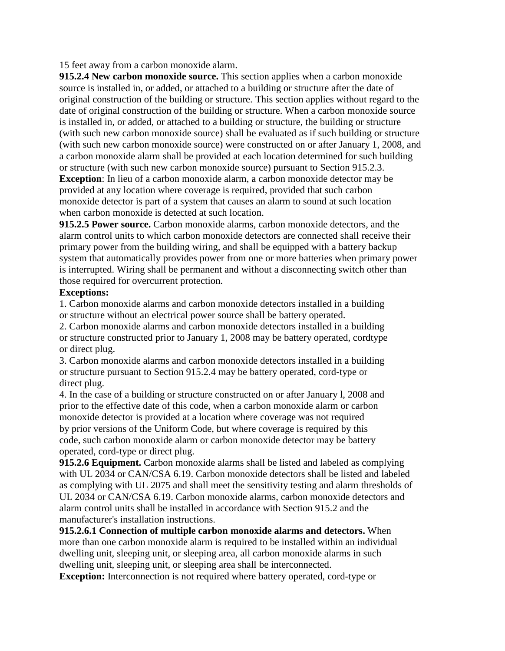### 15 feet away from a carbon monoxide alarm.

**915.2.4 New carbon monoxide source.** This section applies when a carbon monoxide source is installed in, or added, or attached to a building or structure after the date of original construction of the building or structure. This section applies without regard to the date of original construction of the building or structure. When a carbon monoxide source is installed in, or added, or attached to a building or structure, the building or structure (with such new carbon monoxide source) shall be evaluated as if such building or structure (with such new carbon monoxide source) were constructed on or after January 1, 2008, and a carbon monoxide alarm shall be provided at each location determined for such building or structure (with such new carbon monoxide source) pursuant to Section 915.2.3.

**Exception**: In lieu of a carbon monoxide alarm, a carbon monoxide detector may be provided at any location where coverage is required, provided that such carbon monoxide detector is part of a system that causes an alarm to sound at such location when carbon monoxide is detected at such location.

**915.2.5 Power source.** Carbon monoxide alarms, carbon monoxide detectors, and the alarm control units to which carbon monoxide detectors are connected shall receive their primary power from the building wiring, and shall be equipped with a battery backup system that automatically provides power from one or more batteries when primary power is interrupted. Wiring shall be permanent and without a disconnecting switch other than those required for overcurrent protection.

#### **Exceptions:**

1. Carbon monoxide alarms and carbon monoxide detectors installed in a building or structure without an electrical power source shall be battery operated.

2. Carbon monoxide alarms and carbon monoxide detectors installed in a building or structure constructed prior to January 1, 2008 may be battery operated, cordtype or direct plug.

3. Carbon monoxide alarms and carbon monoxide detectors installed in a building or structure pursuant to Section 915.2.4 may be battery operated, cord-type or direct plug.

4. In the case of a building or structure constructed on or after January l, 2008 and prior to the effective date of this code, when a carbon monoxide alarm or carbon monoxide detector is provided at a location where coverage was not required by prior versions of the Uniform Code, but where coverage is required by this code, such carbon monoxide alarm or carbon monoxide detector may be battery operated, cord-type or direct plug.

**915.2.6 Equipment.** Carbon monoxide alarms shall be listed and labeled as complying with UL 2034 or CAN/CSA 6.19. Carbon monoxide detectors shall be listed and labeled as complying with UL 2075 and shall meet the sensitivity testing and alarm thresholds of UL 2034 or CAN/CSA 6.19. Carbon monoxide alarms, carbon monoxide detectors and alarm control units shall be installed in accordance with Section 915.2 and the manufacturer's installation instructions.

**915.2.6.1 Connection of multiple carbon monoxide alarms and detectors.** When more than one carbon monoxide alarm is required to be installed within an individual dwelling unit, sleeping unit, or sleeping area, all carbon monoxide alarms in such dwelling unit, sleeping unit, or sleeping area shall be interconnected.

**Exception:** Interconnection is not required where battery operated, cord-type or